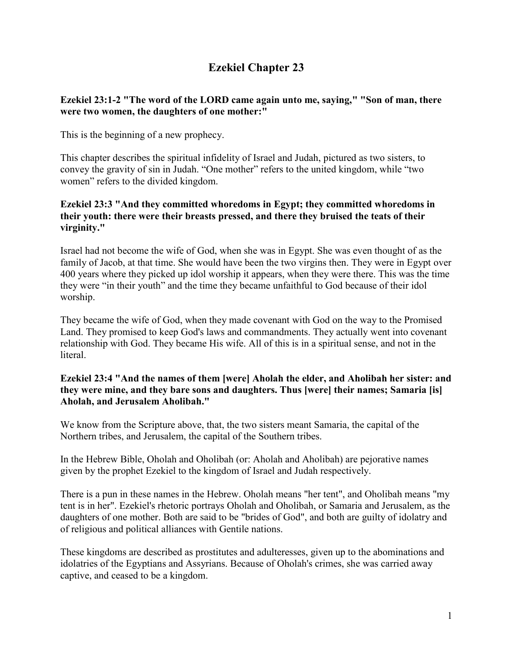# **Ezekiel Chapter 23**

## **Ezekiel 23:1-2 "The word of the LORD came again unto me, saying," "Son of man, there were two women, the daughters of one mother:"**

This is the beginning of a new prophecy.

This chapter describes the spiritual infidelity of Israel and Judah, pictured as two sisters, to convey the gravity of sin in Judah. "One mother" refers to the united kingdom, while "two women" refers to the divided kingdom.

#### **Ezekiel 23:3 "And they committed whoredoms in Egypt; they committed whoredoms in their youth: there were their breasts pressed, and there they bruised the teats of their virginity."**

Israel had not become the wife of God, when she was in Egypt. She was even thought of as the family of Jacob, at that time. She would have been the two virgins then. They were in Egypt over 400 years where they picked up idol worship it appears, when they were there. This was the time they were "in their youth" and the time they became unfaithful to God because of their idol worship.

They became the wife of God, when they made covenant with God on the way to the Promised Land. They promised to keep God's laws and commandments. They actually went into covenant relationship with God. They became His wife. All of this is in a spiritual sense, and not in the literal.

#### **Ezekiel 23:4 "And the names of them [were] Aholah the elder, and Aholibah her sister: and they were mine, and they bare sons and daughters. Thus [were] their names; Samaria [is] Aholah, and Jerusalem Aholibah."**

We know from the Scripture above, that, the two sisters meant Samaria, the capital of the Northern tribes, and Jerusalem, the capital of the Southern tribes.

In the Hebrew Bible, Oholah and Oholibah (or: Aholah and Aholibah) are pejorative names given by the prophet Ezekiel to the kingdom of Israel and Judah respectively.

There is a pun in these names in the Hebrew. Oholah means "her tent", and Oholibah means "my tent is in her". Ezekiel's rhetoric portrays Oholah and Oholibah, or Samaria and Jerusalem, as the daughters of one mother. Both are said to be "brides of God", and both are guilty of idolatry and of religious and political alliances with Gentile nations.

These kingdoms are described as prostitutes and adulteresses, given up to the abominations and idolatries of the Egyptians and Assyrians. Because of Oholah's crimes, she was carried away captive, and ceased to be a kingdom.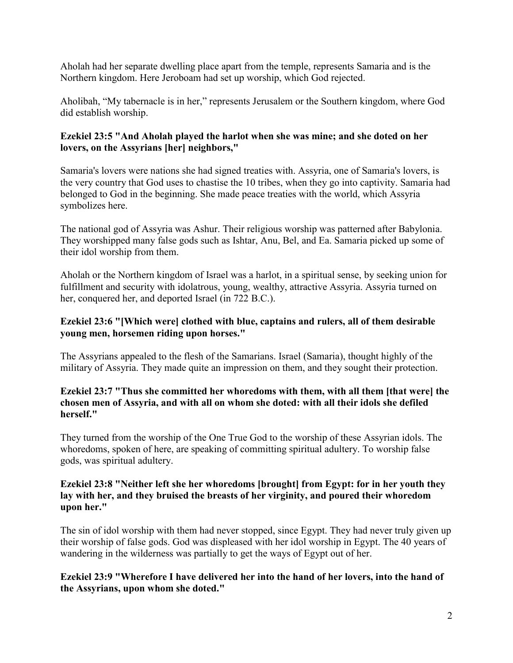Aholah had her separate dwelling place apart from the temple, represents Samaria and is the Northern kingdom. Here Jeroboam had set up worship, which God rejected.

Aholibah, "My tabernacle is in her," represents Jerusalem or the Southern kingdom, where God did establish worship.

## **Ezekiel 23:5 "And Aholah played the harlot when she was mine; and she doted on her lovers, on the Assyrians [her] neighbors,"**

Samaria's lovers were nations she had signed treaties with. Assyria, one of Samaria's lovers, is the very country that God uses to chastise the 10 tribes, when they go into captivity. Samaria had belonged to God in the beginning. She made peace treaties with the world, which Assyria symbolizes here.

The national god of Assyria was Ashur. Their religious worship was patterned after Babylonia. They worshipped many false gods such as Ishtar, Anu, Bel, and Ea. Samaria picked up some of their idol worship from them.

Aholah or the Northern kingdom of Israel was a harlot, in a spiritual sense, by seeking union for fulfillment and security with idolatrous, young, wealthy, attractive Assyria. Assyria turned on her, conquered her, and deported Israel (in 722 B.C.).

## **Ezekiel 23:6 "[Which were] clothed with blue, captains and rulers, all of them desirable young men, horsemen riding upon horses."**

The Assyrians appealed to the flesh of the Samarians. Israel (Samaria), thought highly of the military of Assyria. They made quite an impression on them, and they sought their protection.

#### **Ezekiel 23:7 "Thus she committed her whoredoms with them, with all them [that were] the chosen men of Assyria, and with all on whom she doted: with all their idols she defiled herself."**

They turned from the worship of the One True God to the worship of these Assyrian idols. The whoredoms, spoken of here, are speaking of committing spiritual adultery. To worship false gods, was spiritual adultery.

#### **Ezekiel 23:8 "Neither left she her whoredoms [brought] from Egypt: for in her youth they lay with her, and they bruised the breasts of her virginity, and poured their whoredom upon her."**

The sin of idol worship with them had never stopped, since Egypt. They had never truly given up their worship of false gods. God was displeased with her idol worship in Egypt. The 40 years of wandering in the wilderness was partially to get the ways of Egypt out of her.

## **Ezekiel 23:9 "Wherefore I have delivered her into the hand of her lovers, into the hand of the Assyrians, upon whom she doted."**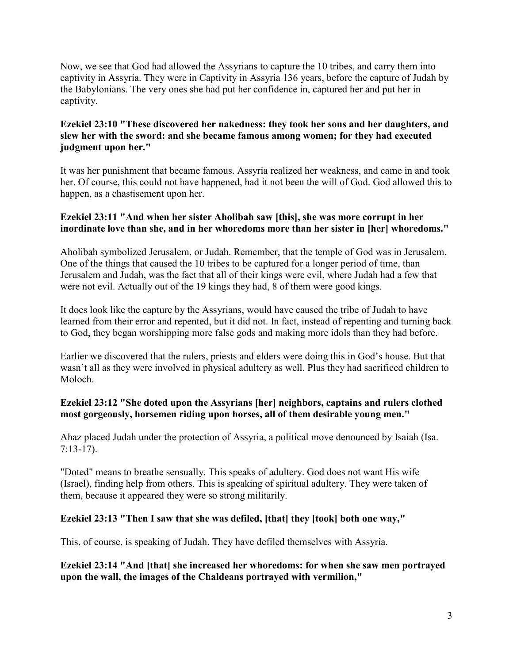Now, we see that God had allowed the Assyrians to capture the 10 tribes, and carry them into captivity in Assyria. They were in Captivity in Assyria 136 years, before the capture of Judah by the Babylonians. The very ones she had put her confidence in, captured her and put her in captivity.

## **Ezekiel 23:10 "These discovered her nakedness: they took her sons and her daughters, and slew her with the sword: and she became famous among women; for they had executed judgment upon her."**

It was her punishment that became famous. Assyria realized her weakness, and came in and took her. Of course, this could not have happened, had it not been the will of God. God allowed this to happen, as a chastisement upon her.

## **Ezekiel 23:11 "And when her sister Aholibah saw [this], she was more corrupt in her inordinate love than she, and in her whoredoms more than her sister in [her] whoredoms."**

Aholibah symbolized Jerusalem, or Judah. Remember, that the temple of God was in Jerusalem. One of the things that caused the 10 tribes to be captured for a longer period of time, than Jerusalem and Judah, was the fact that all of their kings were evil, where Judah had a few that were not evil. Actually out of the 19 kings they had, 8 of them were good kings.

It does look like the capture by the Assyrians, would have caused the tribe of Judah to have learned from their error and repented, but it did not. In fact, instead of repenting and turning back to God, they began worshipping more false gods and making more idols than they had before.

Earlier we discovered that the rulers, priests and elders were doing this in God's house. But that wasn't all as they were involved in physical adultery as well. Plus they had sacrificed children to Moloch.

# **Ezekiel 23:12 "She doted upon the Assyrians [her] neighbors, captains and rulers clothed most gorgeously, horsemen riding upon horses, all of them desirable young men."**

Ahaz placed Judah under the protection of Assyria, a political move denounced by Isaiah (Isa. 7:13-17).

"Doted" means to breathe sensually. This speaks of adultery. God does not want His wife (Israel), finding help from others. This is speaking of spiritual adultery. They were taken of them, because it appeared they were so strong militarily.

# **Ezekiel 23:13 "Then I saw that she was defiled, [that] they [took] both one way,"**

This, of course, is speaking of Judah. They have defiled themselves with Assyria.

**Ezekiel 23:14 "And [that] she increased her whoredoms: for when she saw men portrayed upon the wall, the images of the Chaldeans portrayed with vermilion,"**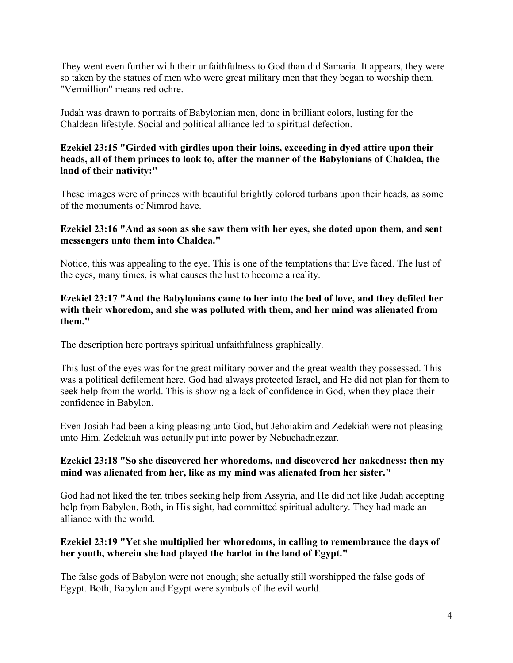They went even further with their unfaithfulness to God than did Samaria. It appears, they were so taken by the statues of men who were great military men that they began to worship them. "Vermillion" means red ochre.

Judah was drawn to portraits of Babylonian men, done in brilliant colors, lusting for the Chaldean lifestyle. Social and political alliance led to spiritual defection.

#### **Ezekiel 23:15 "Girded with girdles upon their loins, exceeding in dyed attire upon their heads, all of them princes to look to, after the manner of the Babylonians of Chaldea, the land of their nativity:"**

These images were of princes with beautiful brightly colored turbans upon their heads, as some of the monuments of Nimrod have.

#### **Ezekiel 23:16 "And as soon as she saw them with her eyes, she doted upon them, and sent messengers unto them into Chaldea."**

Notice, this was appealing to the eye. This is one of the temptations that Eve faced. The lust of the eyes, many times, is what causes the lust to become a reality.

#### **Ezekiel 23:17 "And the Babylonians came to her into the bed of love, and they defiled her with their whoredom, and she was polluted with them, and her mind was alienated from them."**

The description here portrays spiritual unfaithfulness graphically.

This lust of the eyes was for the great military power and the great wealth they possessed. This was a political defilement here. God had always protected Israel, and He did not plan for them to seek help from the world. This is showing a lack of confidence in God, when they place their confidence in Babylon.

Even Josiah had been a king pleasing unto God, but Jehoiakim and Zedekiah were not pleasing unto Him. Zedekiah was actually put into power by Nebuchadnezzar.

## **Ezekiel 23:18 "So she discovered her whoredoms, and discovered her nakedness: then my mind was alienated from her, like as my mind was alienated from her sister."**

God had not liked the ten tribes seeking help from Assyria, and He did not like Judah accepting help from Babylon. Both, in His sight, had committed spiritual adultery. They had made an alliance with the world.

## **Ezekiel 23:19 "Yet she multiplied her whoredoms, in calling to remembrance the days of her youth, wherein she had played the harlot in the land of Egypt."**

The false gods of Babylon were not enough; she actually still worshipped the false gods of Egypt. Both, Babylon and Egypt were symbols of the evil world.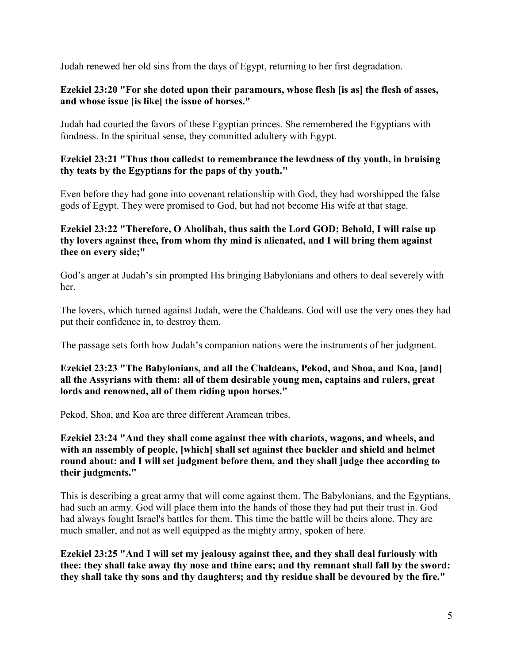Judah renewed her old sins from the days of Egypt, returning to her first degradation.

## **Ezekiel 23:20 "For she doted upon their paramours, whose flesh [is as] the flesh of asses, and whose issue [is like] the issue of horses."**

Judah had courted the favors of these Egyptian princes. She remembered the Egyptians with fondness. In the spiritual sense, they committed adultery with Egypt.

## **Ezekiel 23:21 "Thus thou calledst to remembrance the lewdness of thy youth, in bruising thy teats by the Egyptians for the paps of thy youth."**

Even before they had gone into covenant relationship with God, they had worshipped the false gods of Egypt. They were promised to God, but had not become His wife at that stage.

#### **Ezekiel 23:22 "Therefore, O Aholibah, thus saith the Lord GOD; Behold, I will raise up thy lovers against thee, from whom thy mind is alienated, and I will bring them against thee on every side;"**

God's anger at Judah's sin prompted His bringing Babylonians and others to deal severely with her.

The lovers, which turned against Judah, were the Chaldeans. God will use the very ones they had put their confidence in, to destroy them.

The passage sets forth how Judah's companion nations were the instruments of her judgment.

## **Ezekiel 23:23 "The Babylonians, and all the Chaldeans, Pekod, and Shoa, and Koa, [and] all the Assyrians with them: all of them desirable young men, captains and rulers, great lords and renowned, all of them riding upon horses."**

Pekod, Shoa, and Koa are three different Aramean tribes.

## **Ezekiel 23:24 "And they shall come against thee with chariots, wagons, and wheels, and with an assembly of people, [which] shall set against thee buckler and shield and helmet round about: and I will set judgment before them, and they shall judge thee according to their judgments."**

This is describing a great army that will come against them. The Babylonians, and the Egyptians, had such an army. God will place them into the hands of those they had put their trust in. God had always fought Israel's battles for them. This time the battle will be theirs alone. They are much smaller, and not as well equipped as the mighty army, spoken of here.

**Ezekiel 23:25 "And I will set my jealousy against thee, and they shall deal furiously with thee: they shall take away thy nose and thine ears; and thy remnant shall fall by the sword: they shall take thy sons and thy daughters; and thy residue shall be devoured by the fire."**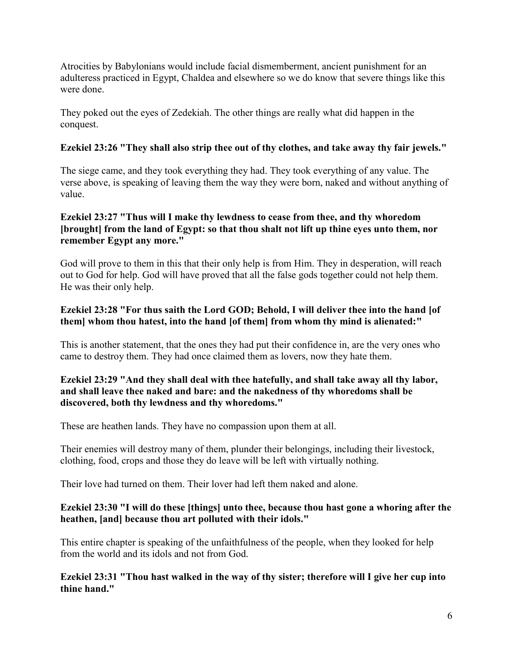Atrocities by Babylonians would include facial dismemberment, ancient punishment for an adulteress practiced in Egypt, Chaldea and elsewhere so we do know that severe things like this were done.

They poked out the eyes of Zedekiah. The other things are really what did happen in the conquest.

# **Ezekiel 23:26 "They shall also strip thee out of thy clothes, and take away thy fair jewels."**

The siege came, and they took everything they had. They took everything of any value. The verse above, is speaking of leaving them the way they were born, naked and without anything of value.

# **Ezekiel 23:27 "Thus will I make thy lewdness to cease from thee, and thy whoredom [brought] from the land of Egypt: so that thou shalt not lift up thine eyes unto them, nor remember Egypt any more."**

God will prove to them in this that their only help is from Him. They in desperation, will reach out to God for help. God will have proved that all the false gods together could not help them. He was their only help.

## **Ezekiel 23:28 "For thus saith the Lord GOD; Behold, I will deliver thee into the hand [of them] whom thou hatest, into the hand [of them] from whom thy mind is alienated:"**

This is another statement, that the ones they had put their confidence in, are the very ones who came to destroy them. They had once claimed them as lovers, now they hate them.

# **Ezekiel 23:29 "And they shall deal with thee hatefully, and shall take away all thy labor, and shall leave thee naked and bare: and the nakedness of thy whoredoms shall be discovered, both thy lewdness and thy whoredoms."**

These are heathen lands. They have no compassion upon them at all.

Their enemies will destroy many of them, plunder their belongings, including their livestock, clothing, food, crops and those they do leave will be left with virtually nothing.

Their love had turned on them. Their lover had left them naked and alone.

# **Ezekiel 23:30 "I will do these [things] unto thee, because thou hast gone a whoring after the heathen, [and] because thou art polluted with their idols."**

This entire chapter is speaking of the unfaithfulness of the people, when they looked for help from the world and its idols and not from God.

**Ezekiel 23:31 "Thou hast walked in the way of thy sister; therefore will I give her cup into thine hand."**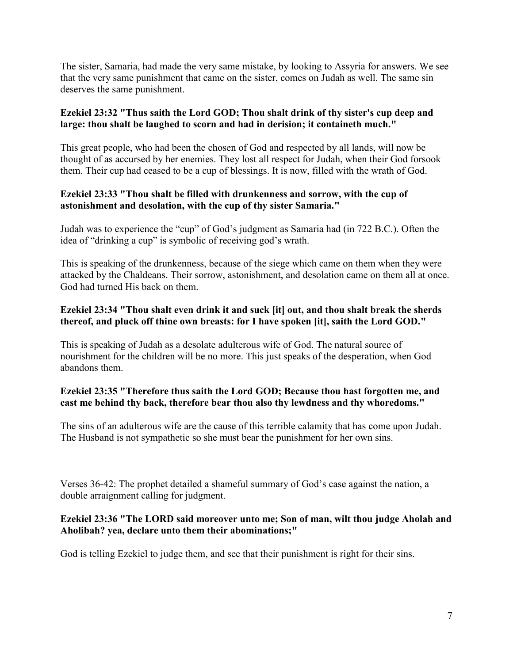The sister, Samaria, had made the very same mistake, by looking to Assyria for answers. We see that the very same punishment that came on the sister, comes on Judah as well. The same sin deserves the same punishment.

# **Ezekiel 23:32 "Thus saith the Lord GOD; Thou shalt drink of thy sister's cup deep and large: thou shalt be laughed to scorn and had in derision; it containeth much."**

This great people, who had been the chosen of God and respected by all lands, will now be thought of as accursed by her enemies. They lost all respect for Judah, when their God forsook them. Their cup had ceased to be a cup of blessings. It is now, filled with the wrath of God.

## **Ezekiel 23:33 "Thou shalt be filled with drunkenness and sorrow, with the cup of astonishment and desolation, with the cup of thy sister Samaria."**

Judah was to experience the "cup" of God's judgment as Samaria had (in 722 B.C.). Often the idea of "drinking a cup" is symbolic of receiving god's wrath.

This is speaking of the drunkenness, because of the siege which came on them when they were attacked by the Chaldeans. Their sorrow, astonishment, and desolation came on them all at once. God had turned His back on them.

## **Ezekiel 23:34 "Thou shalt even drink it and suck [it] out, and thou shalt break the sherds thereof, and pluck off thine own breasts: for I have spoken [it], saith the Lord GOD."**

This is speaking of Judah as a desolate adulterous wife of God. The natural source of nourishment for the children will be no more. This just speaks of the desperation, when God abandons them.

# **Ezekiel 23:35 "Therefore thus saith the Lord GOD; Because thou hast forgotten me, and cast me behind thy back, therefore bear thou also thy lewdness and thy whoredoms."**

The sins of an adulterous wife are the cause of this terrible calamity that has come upon Judah. The Husband is not sympathetic so she must bear the punishment for her own sins.

Verses 36-42: The prophet detailed a shameful summary of God's case against the nation, a double arraignment calling for judgment.

## **Ezekiel 23:36 "The LORD said moreover unto me; Son of man, wilt thou judge Aholah and Aholibah? yea, declare unto them their abominations;"**

God is telling Ezekiel to judge them, and see that their punishment is right for their sins.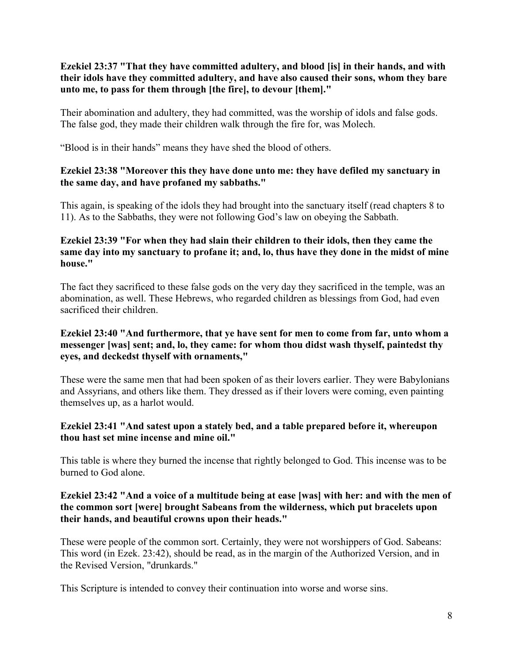## **Ezekiel 23:37 "That they have committed adultery, and blood [is] in their hands, and with their idols have they committed adultery, and have also caused their sons, whom they bare unto me, to pass for them through [the fire], to devour [them]."**

Their abomination and adultery, they had committed, was the worship of idols and false gods. The false god, they made their children walk through the fire for, was Molech.

"Blood is in their hands" means they have shed the blood of others.

## **Ezekiel 23:38 "Moreover this they have done unto me: they have defiled my sanctuary in the same day, and have profaned my sabbaths."**

This again, is speaking of the idols they had brought into the sanctuary itself (read chapters 8 to 11). As to the Sabbaths, they were not following God's law on obeying the Sabbath.

#### **Ezekiel 23:39 "For when they had slain their children to their idols, then they came the same day into my sanctuary to profane it; and, lo, thus have they done in the midst of mine house."**

The fact they sacrificed to these false gods on the very day they sacrificed in the temple, was an abomination, as well. These Hebrews, who regarded children as blessings from God, had even sacrificed their children.

## **Ezekiel 23:40 "And furthermore, that ye have sent for men to come from far, unto whom a messenger [was] sent; and, lo, they came: for whom thou didst wash thyself, paintedst thy eyes, and deckedst thyself with ornaments,"**

These were the same men that had been spoken of as their lovers earlier. They were Babylonians and Assyrians, and others like them. They dressed as if their lovers were coming, even painting themselves up, as a harlot would.

#### **Ezekiel 23:41 "And satest upon a stately bed, and a table prepared before it, whereupon thou hast set mine incense and mine oil."**

This table is where they burned the incense that rightly belonged to God. This incense was to be burned to God alone.

#### **Ezekiel 23:42 "And a voice of a multitude being at ease [was] with her: and with the men of the common sort [were] brought Sabeans from the wilderness, which put bracelets upon their hands, and beautiful crowns upon their heads."**

These were people of the common sort. Certainly, they were not worshippers of God. Sabeans: This word (in Ezek. 23:42), should be read, as in the margin of the Authorized Version, and in the Revised Version, "drunkards."

This Scripture is intended to convey their continuation into worse and worse sins.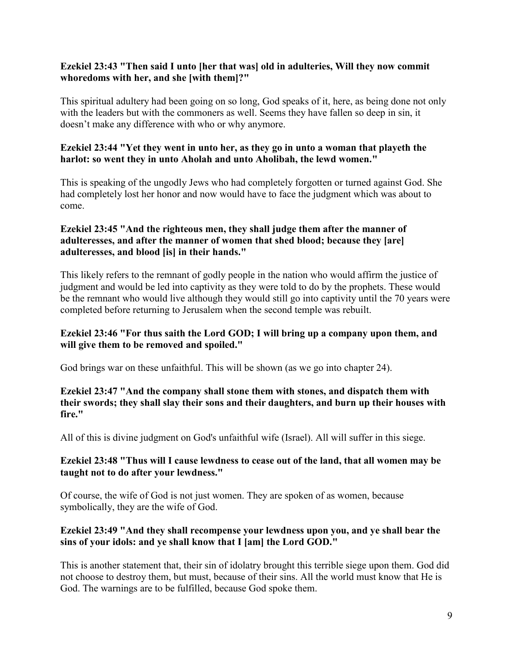## **Ezekiel 23:43 "Then said I unto [her that was] old in adulteries, Will they now commit whoredoms with her, and she [with them]?"**

This spiritual adultery had been going on so long, God speaks of it, here, as being done not only with the leaders but with the commoners as well. Seems they have fallen so deep in sin, it doesn't make any difference with who or why anymore.

## **Ezekiel 23:44 "Yet they went in unto her, as they go in unto a woman that playeth the harlot: so went they in unto Aholah and unto Aholibah, the lewd women."**

This is speaking of the ungodly Jews who had completely forgotten or turned against God. She had completely lost her honor and now would have to face the judgment which was about to come.

#### **Ezekiel 23:45 "And the righteous men, they shall judge them after the manner of adulteresses, and after the manner of women that shed blood; because they [are] adulteresses, and blood [is] in their hands."**

This likely refers to the remnant of godly people in the nation who would affirm the justice of judgment and would be led into captivity as they were told to do by the prophets. These would be the remnant who would live although they would still go into captivity until the 70 years were completed before returning to Jerusalem when the second temple was rebuilt.

## **Ezekiel 23:46 "For thus saith the Lord GOD; I will bring up a company upon them, and will give them to be removed and spoiled."**

God brings war on these unfaithful. This will be shown (as we go into chapter 24).

## **Ezekiel 23:47 "And the company shall stone them with stones, and dispatch them with their swords; they shall slay their sons and their daughters, and burn up their houses with fire."**

All of this is divine judgment on God's unfaithful wife (Israel). All will suffer in this siege.

## **Ezekiel 23:48 "Thus will I cause lewdness to cease out of the land, that all women may be taught not to do after your lewdness."**

Of course, the wife of God is not just women. They are spoken of as women, because symbolically, they are the wife of God.

# **Ezekiel 23:49 "And they shall recompense your lewdness upon you, and ye shall bear the sins of your idols: and ye shall know that I [am] the Lord GOD."**

This is another statement that, their sin of idolatry brought this terrible siege upon them. God did not choose to destroy them, but must, because of their sins. All the world must know that He is God. The warnings are to be fulfilled, because God spoke them.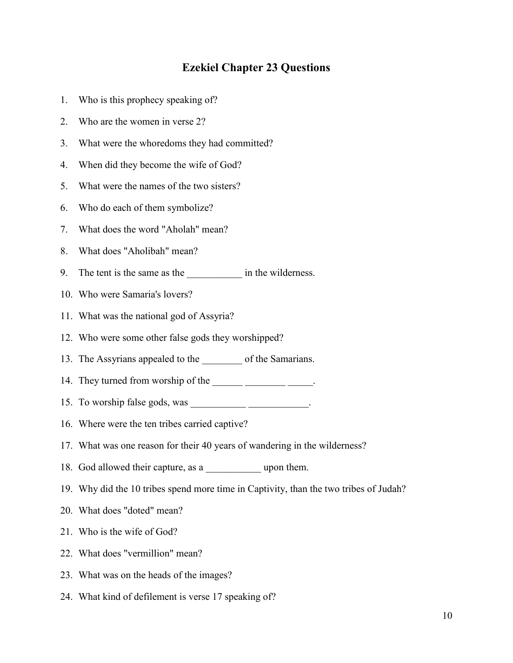# **Ezekiel Chapter 23 Questions**

- 1. Who is this prophecy speaking of?
- 2. Who are the women in verse 2?
- 3. What were the whoredoms they had committed?
- 4. When did they become the wife of God?
- 5. What were the names of the two sisters?
- 6. Who do each of them symbolize?
- 7. What does the word "Aholah" mean?
- 8. What does "Aholibah" mean?
- 9. The tent is the same as the \_\_\_\_\_\_\_\_\_\_\_\_\_ in the wilderness.
- 10. Who were Samaria's lovers?
- 11. What was the national god of Assyria?
- 12. Who were some other false gods they worshipped?
- 13. The Assyrians appealed to the \_\_\_\_\_\_\_\_ of the Samarians.
- 14. They turned from worship of the \_\_\_\_\_\_\_\_\_\_\_\_\_\_\_\_\_\_\_\_\_\_\_\_\_\_\_\_\_\_\_\_.
- 15. To worship false gods, was \_\_\_\_\_\_\_\_\_\_\_ \_\_\_\_\_\_\_\_\_\_\_\_.
- 16. Where were the ten tribes carried captive?
- 17. What was one reason for their 40 years of wandering in the wilderness?
- 18. God allowed their capture, as a \_\_\_\_\_\_\_\_\_\_\_ upon them.
- 19. Why did the 10 tribes spend more time in Captivity, than the two tribes of Judah?
- 20. What does "doted" mean?
- 21. Who is the wife of God?
- 22. What does "vermillion" mean?
- 23. What was on the heads of the images?
- 24. What kind of defilement is verse 17 speaking of?